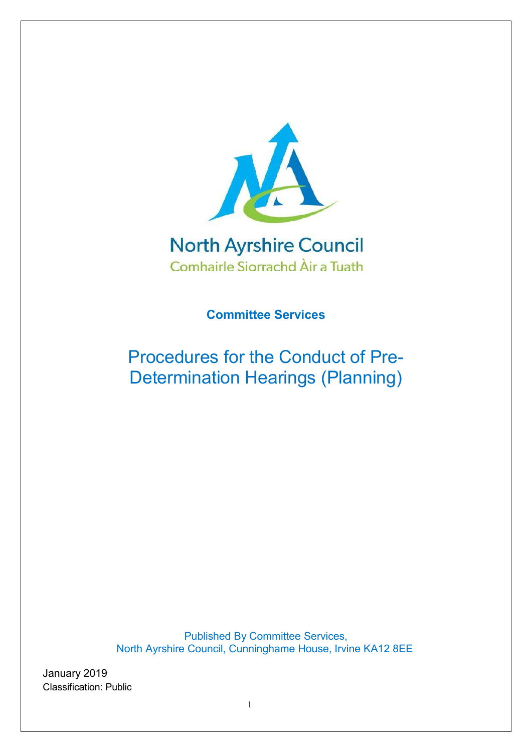

# **North Ayrshire Council** Comhairle Siorrachd Àir a Tuath

**Committee Services**

Procedures for the Conduct of Pre-Determination Hearings (Planning)

Published By Committee Services, North Ayrshire Council, Cunninghame House, Irvine KA12 8EE

January 2019 Classification: Public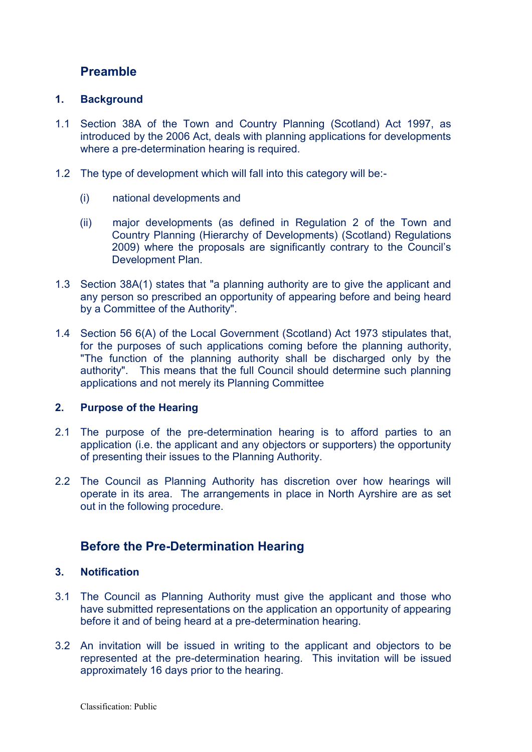# **Preamble**

## **1. Background**

- 1.1 Section 38A of the Town and Country Planning (Scotland) Act 1997, as introduced by the 2006 Act, deals with planning applications for developments where a pre-determination hearing is required.
- 1.2 The type of development which will fall into this category will be:-
	- (i) national developments and
	- (ii) major developments (as defined in Regulation 2 of the Town and Country Planning (Hierarchy of Developments) (Scotland) Regulations 2009) where the proposals are significantly contrary to the Council's Development Plan.
- 1.3 Section 38A(1) states that "a planning authority are to give the applicant and any person so prescribed an opportunity of appearing before and being heard by a Committee of the Authority".
- 1.4 Section 56 6(A) of the Local Government (Scotland) Act 1973 stipulates that, for the purposes of such applications coming before the planning authority, "The function of the planning authority shall be discharged only by the authority". This means that the full Council should determine such planning applications and not merely its Planning Committee

### **2. Purpose of the Hearing**

- 2.1 The purpose of the pre-determination hearing is to afford parties to an application (i.e. the applicant and any objectors or supporters) the opportunity of presenting their issues to the Planning Authority.
- 2.2 The Council as Planning Authority has discretion over how hearings will operate in its area. The arrangements in place in North Ayrshire are as set out in the following procedure.

# **Before the Pre-Determination Hearing**

## **3. Notification**

- 3.1 The Council as Planning Authority must give the applicant and those who have submitted representations on the application an opportunity of appearing before it and of being heard at a pre-determination hearing.
- 3.2 An invitation will be issued in writing to the applicant and objectors to be represented at the pre-determination hearing. This invitation will be issued approximately 16 days prior to the hearing.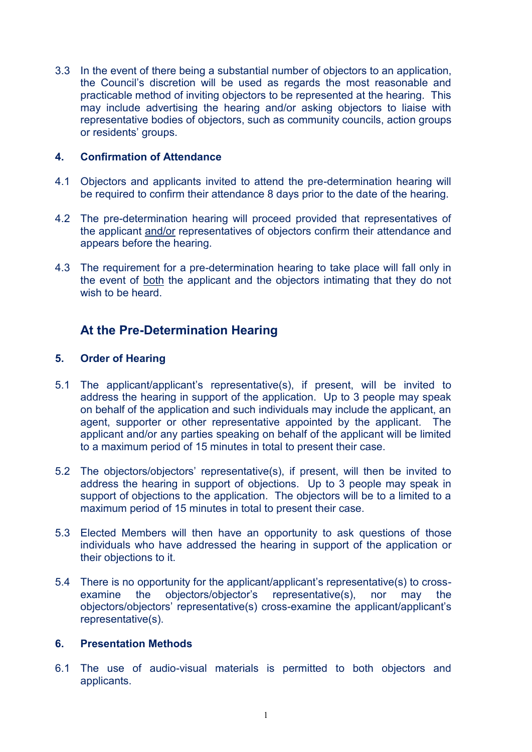3.3 In the event of there being a substantial number of objectors to an application, the Council's discretion will be used as regards the most reasonable and practicable method of inviting objectors to be represented at the hearing. This may include advertising the hearing and/or asking objectors to liaise with representative bodies of objectors, such as community councils, action groups or residents' groups.

### **4. Confirmation of Attendance**

- 4.1 Objectors and applicants invited to attend the pre-determination hearing will be required to confirm their attendance 8 days prior to the date of the hearing.
- 4.2 The pre-determination hearing will proceed provided that representatives of the applicant and/or representatives of objectors confirm their attendance and appears before the hearing.
- 4.3 The requirement for a pre-determination hearing to take place will fall only in the event of both the applicant and the objectors intimating that they do not wish to be heard.

# **At the Pre-Determination Hearing**

## **5. Order of Hearing**

- 5.1 The applicant/applicant's representative(s), if present, will be invited to address the hearing in support of the application. Up to 3 people may speak on behalf of the application and such individuals may include the applicant, an agent, supporter or other representative appointed by the applicant. The applicant and/or any parties speaking on behalf of the applicant will be limited to a maximum period of 15 minutes in total to present their case.
- 5.2 The objectors/objectors' representative(s), if present, will then be invited to address the hearing in support of objections. Up to 3 people may speak in support of objections to the application. The objectors will be to a limited to a maximum period of 15 minutes in total to present their case.
- 5.3 Elected Members will then have an opportunity to ask questions of those individuals who have addressed the hearing in support of the application or their objections to it.
- 5.4 There is no opportunity for the applicant/applicant's representative(s) to crossexamine the objectors/objector's representative(s), nor may the objectors/objectors' representative(s) cross-examine the applicant/applicant's representative(s).

### **6. Presentation Methods**

6.1 The use of audio-visual materials is permitted to both objectors and applicants.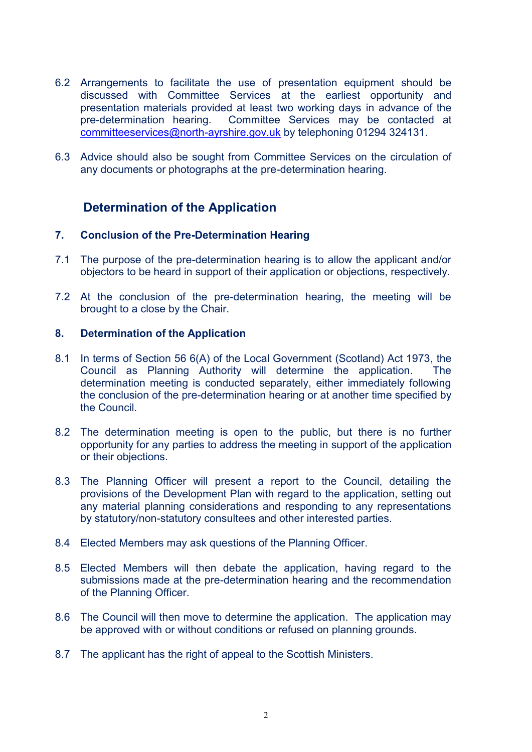- 6.2 Arrangements to facilitate the use of presentation equipment should be discussed with Committee Services at the earliest opportunity and presentation materials provided at least two working days in advance of the pre-determination hearing. Committee Services may be contacted at [committeeservices@north-ayrshire.gov.uk](mailto:committeeservices@north-ayrshire.gov.uk) by telephoning 01294 324131.
- 6.3 Advice should also be sought from Committee Services on the circulation of any documents or photographs at the pre-determination hearing.

# **Determination of the Application**

### **7. Conclusion of the Pre-Determination Hearing**

- 7.1 The purpose of the pre-determination hearing is to allow the applicant and/or objectors to be heard in support of their application or objections, respectively.
- 7.2 At the conclusion of the pre-determination hearing, the meeting will be brought to a close by the Chair.

#### **8. Determination of the Application**

- 8.1 In terms of Section 56 6(A) of the Local Government (Scotland) Act 1973, the Council as Planning Authority will determine the application. The determination meeting is conducted separately, either immediately following the conclusion of the pre-determination hearing or at another time specified by the Council.
- 8.2 The determination meeting is open to the public, but there is no further opportunity for any parties to address the meeting in support of the application or their objections.
- 8.3 The Planning Officer will present a report to the Council, detailing the provisions of the Development Plan with regard to the application, setting out any material planning considerations and responding to any representations by statutory/non-statutory consultees and other interested parties.
- 8.4 Elected Members may ask questions of the Planning Officer.
- 8.5 Elected Members will then debate the application, having regard to the submissions made at the pre-determination hearing and the recommendation of the Planning Officer.
- 8.6 The Council will then move to determine the application. The application may be approved with or without conditions or refused on planning grounds.
- 8.7 The applicant has the right of appeal to the Scottish Ministers.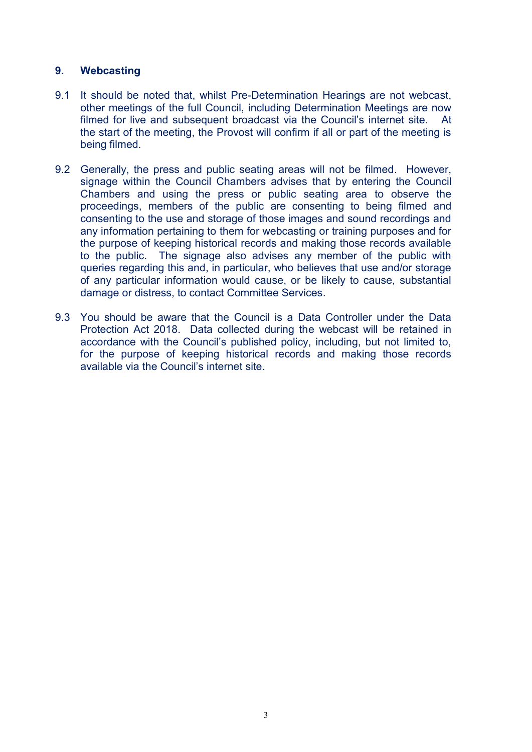## **9. Webcasting**

- 9.1 It should be noted that, whilst Pre-Determination Hearings are not webcast, other meetings of the full Council, including Determination Meetings are now filmed for live and subsequent broadcast via the Council's internet site. At the start of the meeting, the Provost will confirm if all or part of the meeting is being filmed.
- 9.2 Generally, the press and public seating areas will not be filmed. However, signage within the Council Chambers advises that by entering the Council Chambers and using the press or public seating area to observe the proceedings, members of the public are consenting to being filmed and consenting to the use and storage of those images and sound recordings and any information pertaining to them for webcasting or training purposes and for the purpose of keeping historical records and making those records available to the public. The signage also advises any member of the public with queries regarding this and, in particular, who believes that use and/or storage of any particular information would cause, or be likely to cause, substantial damage or distress, to contact Committee Services.
- 9.3 You should be aware that the Council is a Data Controller under the Data Protection Act 2018. Data collected during the webcast will be retained in accordance with the Council's published policy, including, but not limited to, for the purpose of keeping historical records and making those records available via the Council's internet site.